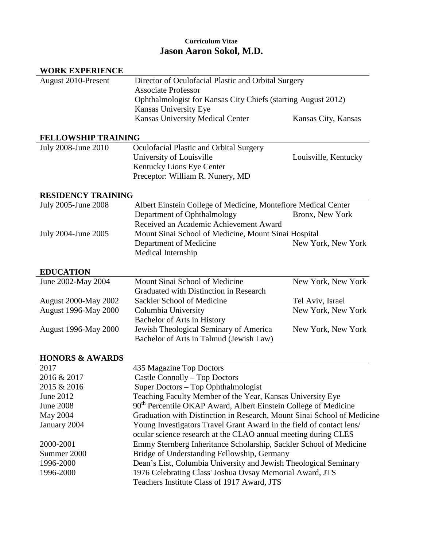# **Curriculum Vitae Jason Aaron Sokol, M.D.**

| <b>WORK EXPERIENCE</b>      |                                                                                                                              |                      |  |
|-----------------------------|------------------------------------------------------------------------------------------------------------------------------|----------------------|--|
| August 2010-Present         | Director of Oculofacial Plastic and Orbital Surgery                                                                          |                      |  |
|                             | <b>Associate Professor</b><br>Ophthalmologist for Kansas City Chiefs (starting August 2012)                                  |                      |  |
|                             |                                                                                                                              |                      |  |
|                             | <b>Kansas University Medical Center</b>                                                                                      | Kansas City, Kansas  |  |
| <b>FELLOWSHIP TRAINING</b>  |                                                                                                                              |                      |  |
| July 2008-June 2010         | Oculofacial Plastic and Orbital Surgery                                                                                      |                      |  |
|                             | University of Louisville                                                                                                     | Louisville, Kentucky |  |
|                             | Kentucky Lions Eye Center                                                                                                    |                      |  |
|                             | Preceptor: William R. Nunery, MD                                                                                             |                      |  |
| <b>RESIDENCY TRAINING</b>   |                                                                                                                              |                      |  |
| July 2005-June 2008         | Albert Einstein College of Medicine, Montefiore Medical Center                                                               |                      |  |
|                             | Department of Ophthalmology                                                                                                  | Bronx, New York      |  |
|                             | Received an Academic Achievement Award                                                                                       |                      |  |
| July 2004-June 2005         | Mount Sinai School of Medicine, Mount Sinai Hospital                                                                         |                      |  |
|                             | Department of Medicine                                                                                                       | New York, New York   |  |
|                             | Medical Internship                                                                                                           |                      |  |
| <b>EDUCATION</b>            |                                                                                                                              |                      |  |
| June 2002-May 2004          | Mount Sinai School of Medicine                                                                                               | New York, New York   |  |
|                             | Graduated with Distinction in Research                                                                                       |                      |  |
| <b>August 2000-May 2002</b> | Sackler School of Medicine                                                                                                   | Tel Aviv, Israel     |  |
| <b>August 1996-May 2000</b> | Columbia University                                                                                                          | New York, New York   |  |
|                             | Bachelor of Arts in History                                                                                                  |                      |  |
| <b>August 1996-May 2000</b> | Jewish Theological Seminary of America                                                                                       | New York, New York   |  |
|                             | Bachelor of Arts in Talmud (Jewish Law)                                                                                      |                      |  |
| <b>HONORS &amp; AWARDS</b>  |                                                                                                                              |                      |  |
| 2017                        | 435 Magazine Top Doctors                                                                                                     |                      |  |
| 2016 & 2017                 | Castle Connolly – Top Doctors                                                                                                |                      |  |
| 2015 & 2016                 | Super Doctors - Top Ophthalmologist                                                                                          |                      |  |
| June 2012                   | Teaching Faculty Member of the Year, Kansas University Eye                                                                   |                      |  |
| <b>June 2008</b>            | 90 <sup>th</sup> Percentile OKAP Award, Albert Einstein College of Medicine                                                  |                      |  |
| May 2004                    | Graduation with Distinction in Research, Mount Sinai School of Medicine                                                      |                      |  |
| January 2004                | Young Investigators Travel Grant Award in the field of contact lens/                                                         |                      |  |
|                             | ocular science research at the CLAO annual meeting during CLES                                                               |                      |  |
|                             |                                                                                                                              |                      |  |
|                             |                                                                                                                              |                      |  |
| 2000-2001                   | Emmy Sternberg Inheritance Scholarship, Sackler School of Medicine                                                           |                      |  |
| Summer 2000                 | Bridge of Understanding Fellowship, Germany                                                                                  |                      |  |
| 1996-2000<br>1996-2000      | Dean's List, Columbia University and Jewish Theological Seminary<br>1976 Celebrating Class' Joshua Ovsay Memorial Award, JTS |                      |  |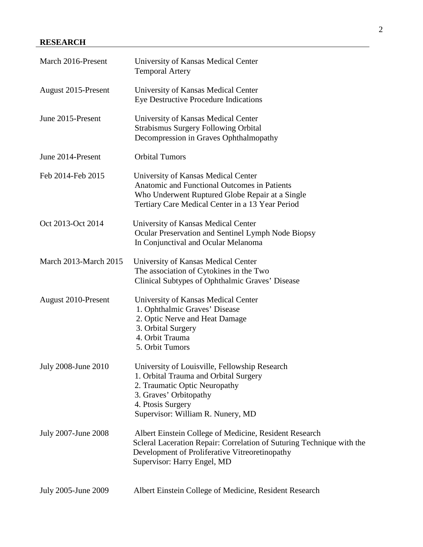## **RESEARCH**

| March 2016-Present    | University of Kansas Medical Center<br><b>Temporal Artery</b>                                                                                                                                                    |  |
|-----------------------|------------------------------------------------------------------------------------------------------------------------------------------------------------------------------------------------------------------|--|
| August 2015-Present   | University of Kansas Medical Center<br>Eye Destructive Procedure Indications                                                                                                                                     |  |
| June 2015-Present     | University of Kansas Medical Center<br><b>Strabismus Surgery Following Orbital</b><br>Decompression in Graves Ophthalmopathy                                                                                     |  |
| June 2014-Present     | <b>Orbital Tumors</b>                                                                                                                                                                                            |  |
| Feb 2014-Feb 2015     | University of Kansas Medical Center<br><b>Anatomic and Functional Outcomes in Patients</b><br>Who Underwent Ruptured Globe Repair at a Single<br>Tertiary Care Medical Center in a 13 Year Period                |  |
| Oct 2013-Oct 2014     | University of Kansas Medical Center<br>Ocular Preservation and Sentinel Lymph Node Biopsy<br>In Conjunctival and Ocular Melanoma                                                                                 |  |
| March 2013-March 2015 | University of Kansas Medical Center<br>The association of Cytokines in the Two<br>Clinical Subtypes of Ophthalmic Graves' Disease                                                                                |  |
| August 2010-Present   | University of Kansas Medical Center<br>1. Ophthalmic Graves' Disease<br>2. Optic Nerve and Heat Damage<br>3. Orbital Surgery<br>4. Orbit Trauma<br>5. Orbit Tumors                                               |  |
| July 2008-June 2010   | University of Louisville, Fellowship Research<br>1. Orbital Trauma and Orbital Surgery<br>2. Traumatic Optic Neuropathy<br>3. Graves' Orbitopathy<br>4. Ptosis Surgery<br>Supervisor: William R. Nunery, MD      |  |
| July 2007-June 2008   | Albert Einstein College of Medicine, Resident Research<br>Scleral Laceration Repair: Correlation of Suturing Technique with the<br>Development of Proliferative Vitreoretinopathy<br>Supervisor: Harry Engel, MD |  |
| July 2005-June 2009   | Albert Einstein College of Medicine, Resident Research                                                                                                                                                           |  |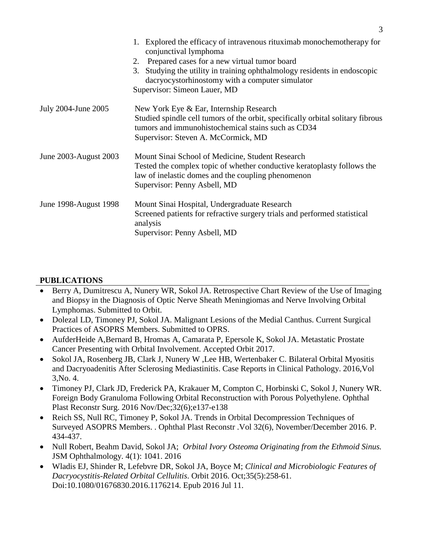|                       | 1. Explored the efficacy of intravenous rituximab monochemotherapy for<br>conjunctival lymphoma<br>2. Prepared cases for a new virtual tumor board<br>3. Studying the utility in training ophthalmology residents in endoscopic<br>dacryocystorhinostomy with a computer simulator<br>Supervisor: Simeon Lauer, MD |
|-----------------------|--------------------------------------------------------------------------------------------------------------------------------------------------------------------------------------------------------------------------------------------------------------------------------------------------------------------|
| July 2004-June 2005   | New York Eye & Ear, Internship Research<br>Studied spindle cell tumors of the orbit, specifically orbital solitary fibrous<br>tumors and immunohistochemical stains such as CD34<br>Supervisor: Steven A. McCormick, MD                                                                                            |
| June 2003-August 2003 | Mount Sinai School of Medicine, Student Research<br>Tested the complex topic of whether conductive keratoplasty follows the<br>law of inelastic domes and the coupling phenomenon<br>Supervisor: Penny Asbell, MD                                                                                                  |
| June 1998-August 1998 | Mount Sinai Hospital, Undergraduate Research<br>Screened patients for refractive surgery trials and performed statistical<br>analysis<br>Supervisor: Penny Asbell, MD                                                                                                                                              |

# **PUBLICATIONS**

- Berry A, Dumitrescu A, Nunery WR, Sokol JA. Retrospective Chart Review of the Use of Imaging and Biopsy in the Diagnosis of Optic Nerve Sheath Meningiomas and Nerve Involving Orbital Lymphomas. Submitted to Orbit.
- Dolezal LD, Timoney PJ, Sokol JA. Malignant Lesions of the Medial Canthus. Current Surgical Practices of ASOPRS Members. Submitted to OPRS.
- AufderHeide A,Bernard B, Hromas A, Camarata P, Epersole K, Sokol JA. Metastatic Prostate Cancer Presenting with Orbital Involvement. Accepted Orbit 2017.
- Sokol JA, Rosenberg JB, Clark J, Nunery W, Lee HB, Wertenbaker C. Bilateral Orbital Myositis and Dacryoadenitis After Sclerosing Mediastinitis. Case Reports in Clinical Pathology. 2016,Vol 3,No. 4.
- Timoney PJ, Clark JD, Frederick PA, Krakauer M, Compton C, Horbinski C, Sokol J, Nunery WR. Foreign Body Granuloma Following Orbital Reconstruction with Porous Polyethylene. Ophthal Plast Reconstr Surg. 2016 Nov/Dec;32(6);e137-e138
- Reich SS, Null RC, Timoney P, Sokol JA. Trends in Orbital Decompression Techniques of Surveyed ASOPRS Members. . Ophthal Plast Reconstr .Vol 32(6), November/December 2016. P. 434-437.
- Null Robert, Beahm David, Sokol JA; *Orbital Ivory Osteoma Originating from the Ethmoid Sinus.* JSM Ophthalmology. 4(1): 1041. 2016
- Wladis EJ, Shinder R, Lefebvre DR, Sokol JA, Boyce M; *Clinical and Microbiologic Features of Dacryocystitis-Related Orbital Cellulitis*. Orbit 2016. Oct;35(5):258-61. Doi:10.1080/01676830.2016.1176214. Epub 2016 Jul 11.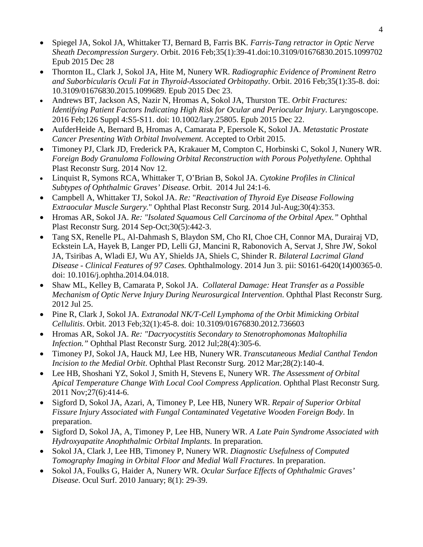- Spiegel JA, Sokol JA, Whittaker TJ, Bernard B, Farris BK. *Farris-Tang retractor in Optic Nerve Sheath Decompression Surgery*. Orbit. 2016 Feb;35(1):39-41.doi:10.3109/01676830.2015.1099702 Epub 2015 Dec 28
- Thornton IL, Clark J, Sokol JA, Hite M, Nunery WR. *Radiographic Evidence of Prominent Retro and Suborbicularis Oculi Fat in Thyroid-Associated Orbitopathy*. Orbit. 2016 Feb;35(1):35-8. doi: 10.3109/01676830.2015.1099689. Epub 2015 Dec 23.
- Andrews BT, Jackson AS, Nazir N, Hromas A, Sokol JA, Thurston TE. *Orbit Fractures: Identifying Patient Factors Indicating High Risk for Ocular and Periocular Injury*. Laryngoscope. 2016 Feb;126 Suppl 4:S5-S11. doi: 10.1002/lary.25805. Epub 2015 Dec 22.
- AufderHeide A, Bernard B, Hromas A, Camarata P, Epersole K, Sokol JA. *Metastatic Prostate Cancer Presenting With Orbital Involvement.* Accepted to Orbit 2015.
- Timoney PJ, Clark JD, Frederick PA, Krakauer M, Compton C, Horbinski C, Sokol J, Nunery WR. *Foreign Body Granuloma Following Orbital Reconstruction with Porous Polyethylene.* Ophthal Plast Reconstr Surg. 2014 Nov 12.
- Linquist R, Symons RCA, Whittaker T, O'Brian B, Sokol JA. *Cytokine Profiles in Clinical Subtypes of Ophthalmic Graves' Disease.* Orbit. 2014 Jul 24:1-6.
- Campbell A, Whittaker TJ, Sokol JA. *Re:* "*Reactivation of Thyroid Eye Disease Following Extraocular Muscle Surgery.*" Ophthal Plast Reconstr Surg. 2014 Jul-Aug;30(4):353.
- Hromas AR, Sokol JA. *Re: "Isolated Squamous Cell Carcinoma of the Orbital Apex."* Ophthal Plast Reconstr Surg. 2014 Sep-Oct;30(5):442-3.
- Tang SX, Renelle PL, Al-Dahmash S, Blaydon SM, Cho RI, Choe CH, Connor MA, Durairaj VD, Eckstein LA, Hayek B, Langer PD, Lelli GJ, Mancini R, Rabonovich A, Servat J, Shre JW, Sokol JA, Tsiribas A, Wladi EJ, Wu AY, Shields JA, Shiels C, Shinder R. *Bilateral Lacrimal Gland Disease - Clinical Features of 97 Cases.* Ophthalmology. 2014 Jun 3. pii: S0161-6420(14)00365-0. doi: 10.1016/j.ophtha.2014.04.018.
- Shaw ML, Kelley B, Camarata P, Sokol JA. *Collateral Damage: Heat Transfer as a Possible Mechanism of Optic Nerve Injury During Neurosurgical Intervention*. Ophthal Plast Reconstr Surg. 2012 Jul 25.
- Pine R, Clark J, Sokol JA. *Extranodal NK/T-Cell Lymphoma of the Orbit Mimicking Orbital Cellulitis*. Orbit. 2013 Feb;32(1):45-8. doi: 10.3109/01676830.2012.736603
- Hromas AR, Sokol JA. *Re: "Dacryocystitis Secondary to Stenotrophomonas Maltophilia Infection."* Ophthal Plast Reconstr Surg. 2012 Jul;28(4):305-6.
- Timoney PJ, Sokol JA, Hauck MJ, Lee HB, Nunery WR. *Transcutaneous Medial Canthal Tendon Incision to the Medial Orbit*. Ophthal Plast Reconstr Surg. 2012 Mar;28(2):140-4.
- Lee HB, Shoshani YZ, Sokol J, Smith H, Stevens E, Nunery WR. *The Assessment of Orbital Apical Temperature Change With Local Cool Compress Application*. Ophthal Plast Reconstr Surg. 2011 Nov;27(6):414-6.
- Sigford D, Sokol JA, Azari, A, Timoney P, Lee HB, Nunery WR. *Repair of Superior Orbital Fissure Injury Associated with Fungal Contaminated Vegetative Wooden Foreign Body*. In preparation.
- Sigford D, Sokol JA, A, Timoney P, Lee HB, Nunery WR. *A Late Pain Syndrome Associated with Hydroxyapatite Anophthalmic Orbital Implants*. In preparation.
- Sokol JA, Clark J, Lee HB, Timoney P, Nunery WR. *Diagnostic Usefulness of Computed Tomography Imaging in Orbital Floor and Medial Wall Fractures*. In preparation.
- Sokol JA, Foulks G, Haider A, Nunery WR. *Ocular Surface Effects of Ophthalmic Graves' Disease*. Ocul Surf. 2010 January; 8(1): 29-39.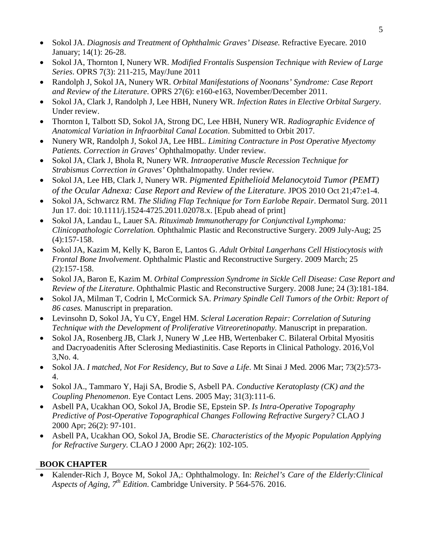- Sokol JA. *Diagnosis and Treatment of Ophthalmic Graves' Disease.* Refractive Eyecare*.* 2010 January; 14(1): 26-28.
- Sokol JA, Thornton I, Nunery WR. *Modified Frontalis Suspension Technique with Review of Large Series*. OPRS 7(3): 211-215, May/June 2011
- Randolph J, Sokol JA, Nunery WR. *Orbital Manifestations of Noonans' Syndrome: Case Report and Review of the Literature*. OPRS 27(6): e160-e163, November/December 2011.
- Sokol JA, Clark J, Randolph J, Lee HBH, Nunery WR. *Infection Rates in Elective Orbital Surgery*. Under review.
- Thornton I, Talbott SD, Sokol JA, Strong DC, Lee HBH, Nunery WR. *Radiographic Evidence of Anatomical Variation in Infraorbital Canal Location*. Submitted to Orbit 2017.
- Nunery WR, Randolph J, Sokol JA, Lee HBL. *Limiting Contracture in Post Operative Myectomy Patients. Correction in Graves'* Ophthalmopath*y*. Under review.
- Sokol JA, Clark J, Bhola R, Nunery WR. *Intraoperative Muscle Recession Technique for Strabismus Correction in Graves'* Ophthalmopathy*.* Under review.
- Sokol JA, Lee HB, Clark J, Nunery WR. *Pigmented Epithelioid Melanocytoid Tumor (PEMT) of the Ocular Adnexa: Case Report and Review of the Literature.* JPOS 2010 Oct 21;47:e1-4.
- Sokol JA, Schwarcz RM. *The Sliding Flap Technique for Torn Earlobe Repair*. Dermatol Surg. 2011 Jun 17. doi: 10.1111/j.1524-4725.2011.02078.x. [Epub ahead of print]
- Sokol JA, Landau L, Lauer SA. *Rituximab Immunotherapy for Conjunctival Lymphoma: Clinicopathologic Correlation.* Ophthalmic Plastic and Reconstructive Surgery. 2009 July-Aug; 25 (4):157-158.
- Sokol JA, Kazim M, Kelly K, Baron E, Lantos G. *Adult Orbital Langerhans Cell Histiocytosis with Frontal Bone Involvement*. Ophthalmic Plastic and Reconstructive Surgery. 2009 March; 25 (2):157-158.
- Sokol JA, Baron E, Kazim M. *Orbital Compression Syndrome in Sickle Cell Disease: Case Report and Review of the Literature*. Ophthalmic Plastic and Reconstructive Surgery. 2008 June; 24 (3):181-184.
- Sokol JA, Milman T, Codrin I, McCormick SA. *Primary Spindle Cell Tumors of the Orbit: Report of 86 cases.* Manuscript in preparation.
- Levinsohn D, Sokol JA, Yu CY, Engel HM. *Scleral Laceration Repair: Correlation of Suturing Technique with the Development of Proliferative Vitreoretinopathy.* Manuscript in preparation.
- Sokol JA, Rosenberg JB, Clark J, Nunery W, Lee HB, Wertenbaker C. Bilateral Orbital Myositis and Dacryoadenitis After Sclerosing Mediastinitis. Case Reports in Clinical Pathology. 2016,Vol 3,No. 4.
- Sokol JA. *I matched, Not For Residency, But to Save a Life*. Mt Sinai J Med. 2006 Mar; 73(2):573- 4.
- Sokol JA., Tammaro Y, Haji SA, Brodie S, Asbell PA. *Conductive Keratoplasty (CK) and the Coupling Phenomenon*. Eye Contact Lens. 2005 May; 31(3):111-6.
- Asbell PA, Ucakhan OO, Sokol JA, Brodie SE, Epstein SP. *Is Intra-Operative Topography Predictive of Post-Operative Topographical Changes Following Refractive Surgery?* CLAO J 2000 Apr; 26(2): 97-101.
- Asbell PA, Ucakhan OO, Sokol JA, Brodie SE. *Characteristics of the Myopic Population Applying for Refractive Surgery.* CLAO J 2000 Apr; 26(2): 102-105.

# **BOOK CHAPTER**

• Kalender-Rich J, Boyce M, Sokol JA,: Ophthalmology. In: *Reichel's Care of the Elderly:Clinical Aspects of Aging, 7th Edition*. Cambridge University. P 564-576. 2016.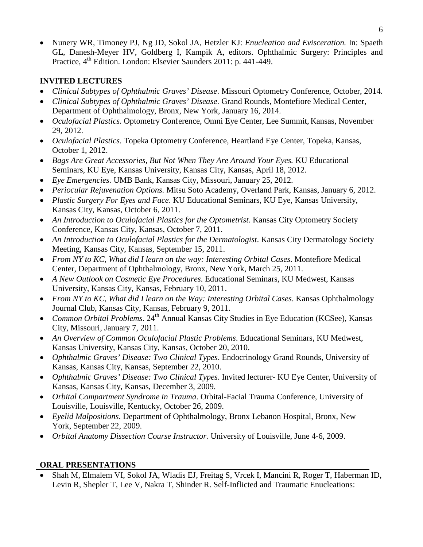• Nunery WR, Timoney PJ, Ng JD, Sokol JA, Hetzler KJ: *Enucleation and Evisceration.* In: Spaeth GL, Danesh-Meyer HV, Goldberg I, Kampik A, editors. Ophthalmic Surgery: Principles and Practice, 4<sup>th</sup> Edition. London: Elsevier Saunders 2011: p. 441-449.

#### **INVITED LECTURES**

- *Clinical Subtypes of Ophthalmic Graves' Disease*. Missouri Optometry Conference, October, 2014.
- *Clinical Subtypes of Ophthalmic Graves' Disease*. Grand Rounds, Montefiore Medical Center, Department of Ophthalmology, Bronx, New York, January 16, 2014.
- *Oculofacial Plastics*. Optometry Conference, Omni Eye Center, Lee Summit, Kansas, November 29, 2012.
- *Oculofacial Plastics*. Topeka Optometry Conference, Heartland Eye Center, Topeka, Kansas, October 1, 2012.
- *Bags Are Great Accessories, But Not When They Are Around Your Eyes.* KU Educational Seminars, KU Eye, Kansas University, Kansas City, Kansas, April 18, 2012.
- *Eye Emergencies.* UMB Bank, Kansas City, Missouri, January 25, 2012.
- *Periocular Rejuvenation Options.* Mitsu Soto Academy, Overland Park, Kansas, January 6, 2012.
- *Plastic Surgery For Eyes and Face*. KU Educational Seminars, KU Eye, Kansas University, Kansas City, Kansas, October 6, 2011.
- An Introduction to Oculofacial Plastics for the Optometrist. Kansas City Optometry Society Conference, Kansas City, Kansas, October 7, 2011.
- An Introduction to Oculofacial Plastics for the Dermatologist. Kansas City Dermatology Society Meeting, Kansas City, Kansas, September 15, 2011.
- *From NY to KC, What did I learn on the way: Interesting Orbital Cases*. Montefiore Medical Center, Department of Ophthalmology, Bronx, New York, March 25, 2011.
- *A New Outlook on Cosmetic Eye Procedures*. Educational Seminars, KU Medwest, Kansas University, Kansas City, Kansas, February 10, 2011.
- *From NY to KC, What did I learn on the Way: Interesting Orbital Cases*. Kansas Ophthalmology Journal Club, Kansas City, Kansas, February 9, 2011.
- *Common Orbital Problems*. 24<sup>th</sup> Annual Kansas City Studies in Eye Education (KCSee), Kansas City, Missouri, January 7, 2011.
- *An Overview of Common Oculofacial Plastic Problems*. Educational Seminars, KU Medwest, Kansas University, Kansas City, Kansas, October 20, 2010.
- *Ophthalmic Graves' Disease: Two Clinical Types*. Endocrinology Grand Rounds, University of Kansas, Kansas City, Kansas, September 22, 2010.
- *Ophthalmic Graves' Disease: Two Clinical Types*. Invited lecturer- KU Eye Center, University of Kansas, Kansas City, Kansas, December 3, 2009.
- *Orbital Compartment Syndrome in Trauma*. Orbital-Facial Trauma Conference, University of Louisville, Louisville, Kentucky, October 26, 2009.
- *Eyelid Malpositions*. Department of Ophthalmology, Bronx Lebanon Hospital, Bronx, New York, September 22, 2009.
- *Orbital Anatomy Dissection Course Instructor.* University of Louisville, June 4-6, 2009.

#### **ORAL PRESENTATIONS**

• Shah M, Elmalem VI, Sokol JA, Wladis EJ, Freitag S, Vrcek I, Mancini R, Roger T, Haberman ID, Levin R, Shepler T, Lee V, Nakra T, Shinder R. Self-Inflicted and Traumatic Enucleations: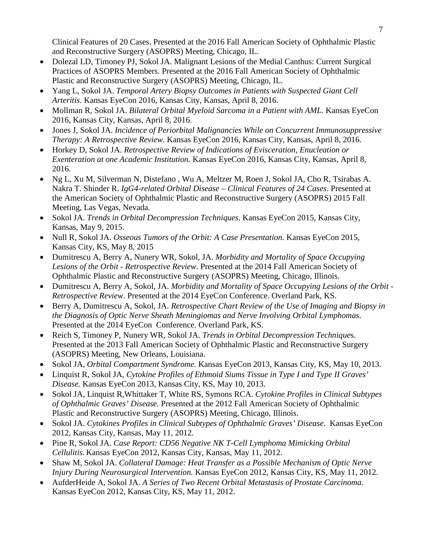7

Clinical Features of 20 Cases. Presented at the 2016 Fall American Society of Ophthalmic Plastic and Reconstructive Surgery (ASOPRS) Meeting, Chicago, IL.

- Dolezal LD, Timoney PJ, Sokol JA, Malignant Lesions of the Medial Canthus: Current Surgical Practices of ASOPRS Members. Presented at the 2016 Fall American Society of Ophthalmic Plastic and Reconstructive Surgery (ASOPRS) Meeting, Chicago, IL.
- Yang L, Sokol JA. *Temporal Artery Biopsy Outcomes in Patients with Suspected Giant Cell Arteritis.* Kansas EyeCon 2016, Kansas City, Kansas, April 8, 2016.
- Mollman R, Sokol JA. *Bilateral Orbital Myeloid Sarcoma in a Patient with AML.* Kansas EyeCon 2016, Kansas City, Kansas, April 8, 2016.
- Jones J, Sokol JA. *Incidence of Periorbital Malignancies While on Concurrent Immunosuppressive Therapy: A Retrospective Review.* Kansas EyeCon 2016, Kansas City, Kansas, April 8, 2016.
- Horkey D, Sokol JA. *Retrospective Review of Indications of Evisceration, Enucleation or Exenteration at one Academic Institution.* Kansas EyeCon 2016, Kansas City, Kansas, April 8, 2016.
- Ng L, Xu M, Silverman N, Distefano , Wu A, Meltzer M, Roen J, Sokol JA, Cho R, Tsirabas A. Nakra T. Shinder R. *IgG4-related Orbital Disease – Clinical Features of 24 Cases*. Presented at the American Society of Ophthalmic Plastic and Reconstructive Surgery (ASOPRS) 2015 Fall Meeting, Las Vegas, Nevada.
- Sokol JA. *Trends in Orbital Decompression Techniques*. Kansas EyeCon 2015, Kansas City, Kansas, May 9, 2015.
- Null R, Sokol JA. *Osseous Tumors of the Orbit: A Case Presentation*. Kansas EyeCon 2015, Kansas City, KS, May 8, 2015
- Dumitrescu A, Berry A, Nunery WR, Sokol, JA. *Morbidity and Mortality of Space Occupying Lesions of the Orbit - Retrospective Review*. Presented at the 2014 Fall American Society of Ophthalmic Plastic and Reconstructive Surgery (ASOPRS) Meeting, Chicago, Illinois.
- Dumitrescu A, Berry A, Sokol, JA. *Morbidity and Mortality of Space Occupying Lesions of the Orbit - Retrospective Review*. Presented at the 2014 EyeCon Conference. Overland Park, KS.
- Berry A, Dumitrescu A, Sokol, JA. *Retrospective Chart Review of the Use of Imaging and Biopsy in the Diagnosis of Optic Nerve Sheath Meningiomas and Nerve Involving Orbital Lymphomas*. Presented at the 2014 EyeCon Conference. Overland Park, KS.
- Reich S, Timoney P, Nunery WR, Sokol JA. *Trends in Orbital Decompression Technique*s. Presented at the 2013 Fall American Society of Ophthalmic Plastic and Reconstructive Surgery (ASOPRS) Meeting, New Orleans, Louisiana.
- Sokol JA, *Orbital Compartment Syndrome.* Kansas EyeCon 2013, Kansas City, KS, May 10, 2013.
- Linquist R, Sokol JA, *Cytokine Profiles of Ethmoid Siums Tissue in Type I and Type II Graves' Disease.* Kansas EyeCon 2013, Kansas City, KS, May 10, 2013.
- Sokol JA, Linquist R,Whittaker T, White RS, Symons RCA. *Cytokine Profiles in Clinical Subtypes of Ophthalmic Graves' Diseas*e. Presented at the 2012 Fall American Society of Ophthalmic Plastic and Reconstructive Surgery (ASOPRS) Meeting, Chicago, Illinois.
- Sokol JA. *Cytokines Profiles in Clinical Subtypes of Ophthalmic Graves' Disease*. Kansas EyeCon 2012, Kansas City, Kansas, May 11, 2012.
- Pine R, Sokol JA. *Case Report: CD56 Negative NK T-Cell Lymphoma Mimicking Orbital Cellulitis.* Kansas EyeCon 2012, Kansas City, Kansas, May 11, 2012.
- Shaw M, Sokol JA. *Collateral Damage: Heat Transfer as a Possible Mechanism of Optic Nerve Injury During Neurosurgical Intervention.* Kansas EyeCon 2012, Kansas City, KS, May 11, 2012.
- AufderHeide A, Sokol JA. *A Series of Two Recent Orbital Metastasis of Prostate Carcinoma.* Kansas EyeCon 2012, Kansas City, KS, May 11, 2012.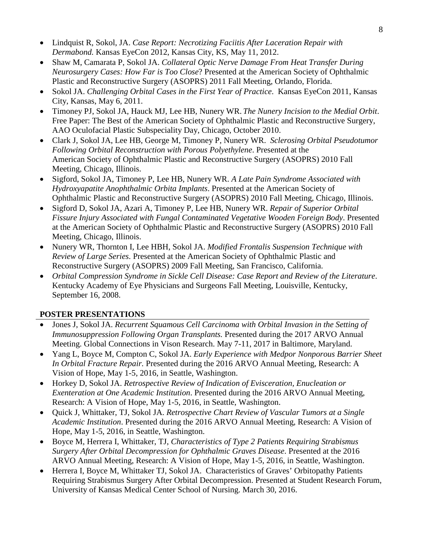- 8
- Lindquist R, Sokol, JA. *Case Report: Necrotizing Faciitis After Laceration Repair with Dermabond.* Kansas EyeCon 2012, Kansas City, KS, May 11, 2012.
- Shaw M, Camarata P, Sokol JA. *Collateral Optic Nerve Damage From Heat Transfer During Neurosurgery Cases: How Far is Too Close*? Presented at the American Society of Ophthalmic Plastic and Reconstructive Surgery (ASOPRS) 2011 Fall Meeting, Orlando, Florida.
- Sokol JA. *Challenging Orbital Cases in the First Year of Practice*. Kansas EyeCon 2011, Kansas City, Kansas, May 6, 2011.
- Timoney PJ, Sokol JA, Hauck MJ, Lee HB, Nunery WR. *The Nunery Incision to the Medial Orbit*. Free Paper: The Best of the American Society of Ophthalmic Plastic and Reconstructive Surgery, AAO Oculofacial Plastic Subspeciality Day, Chicago, October 2010.
- Clark J, Sokol JA, Lee HB, George M, Timoney P, Nunery WR. *Sclerosing Orbital Pseudotumor Following Orbital Reconstruction with Porous Polyethylene*. Presented at the American Society of Ophthalmic Plastic and Reconstructive Surgery (ASOPRS) 2010 Fall Meeting, Chicago, Illinois.
- Sigford, Sokol JA, Timoney P, Lee HB, Nunery WR. *A Late Pain Syndrome Associated with Hydroxyapatite Anophthalmic Orbita Implants*. Presented at the American Society of Ophthalmic Plastic and Reconstructive Surgery (ASOPRS) 2010 Fall Meeting, Chicago, Illinois.
- Sigford D, Sokol JA, Azari A, Timoney P, Lee HB, Nunery WR. *Repair of Superior Orbital Fissure Injury Associated with Fungal Contaminated Vegetative Wooden Foreign Body*. Presented at the American Society of Ophthalmic Plastic and Reconstructive Surgery (ASOPRS) 2010 Fall Meeting, Chicago, Illinois.
- Nunery WR, Thornton I, Lee HBH, Sokol JA. *Modified Frontalis Suspension Technique with Review of Large Series*. Presented at the American Society of Ophthalmic Plastic and Reconstructive Surgery (ASOPRS) 2009 Fall Meeting, San Francisco, California.
- *Orbital Compression Syndrome in Sickle Cell Disease: Case Report and Review of the Literature*. Kentucky Academy of Eye Physicians and Surgeons Fall Meeting, Louisville, Kentucky, September 16, 2008.

#### **POSTER PRESENTATIONS**

- Jones J, Sokol JA. *Recurrent Squamous Cell Carcinoma with Orbital Invasion in the Setting of Immunosuppression Following Organ Transplants.* Presented during the 2017 ARVO Annual Meeting. Global Connections in Vison Research. May 7-11, 2017 in Baltimore, Maryland.
- Yang L, Boyce M, Compton C, Sokol JA. *Early Experience with Medpor Nonporous Barrier Sheet In Orbital Fracture Repair.* Presented during the 2016 ARVO Annual Meeting, Research: A Vision of Hope, May 1-5, 2016, in Seattle, Washington.
- Horkey D, Sokol JA. *Retrospective Review of Indication of Evisceration, Enucleation or Exenteration at One Academic Institution*. Presented during the 2016 ARVO Annual Meeting, Research: A Vision of Hope, May 1-5, 2016, in Seattle, Washington.
- Quick J, Whittaker, TJ, Sokol JA. *Retrospective Chart Review of Vascular Tumors at a Single Academic Institution*. Presented during the 2016 ARVO Annual Meeting, Research: A Vision of Hope, May 1-5, 2016, in Seattle, Washington.
- Boyce M, Herrera I, Whittaker, TJ, *Characteristics of Type 2 Patients Requiring Strabismus Surgery After Orbital Decompression for Ophthalmic Graves Disease*. Presented at the 2016 ARVO Annual Meeting, Research: A Vision of Hope, May 1-5, 2016, in Seattle, Washington.
- Herrera I, Boyce M, Whittaker TJ, Sokol JA. Characteristics of Graves' Orbitopathy Patients Requiring Strabismus Surgery After Orbital Decompression. Presented at Student Research Forum, University of Kansas Medical Center School of Nursing. March 30, 2016.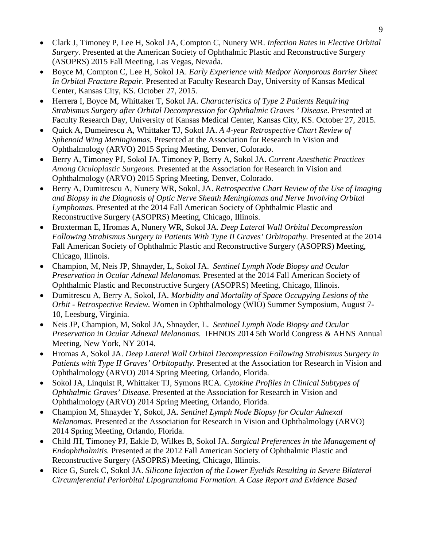- Clark J, Timoney P, Lee H, Sokol JA, Compton C, Nunery WR. *Infection Rates in Elective Orbital Surgery.* Presented at the American Society of Ophthalmic Plastic and Reconstructive Surgery (ASOPRS) 2015 Fall Meeting, Las Vegas, Nevada.
- Boyce M, Compton C, Lee H, Sokol JA. *Early Experience with Medpor Nonporous Barrier Sheet In Orbital Fracture Repair*. Presented at Faculty Research Day, University of Kansas Medical Center, Kansas City, KS. October 27, 2015.
- Herrera I, Boyce M, Whittaker T, Sokol JA. *Characteristics of Type 2 Patients Requiring Strabismus Surgery after Orbital Decompression for Ophthalmic Graves ' Disease*. Presented at Faculty Research Day, University of Kansas Medical Center, Kansas City, KS. October 27, 2015.
- Quick A, Dumeirescu A, Whittaker TJ, Sokol JA. *A 4-year Retrospective Chart Review of Sphenoid Wing Meningiomas.* Presented at the Association for Research in Vision and Ophthalmology (ARVO) 2015 Spring Meeting, Denver, Colorado.
- Berry A, Timoney PJ, Sokol JA. Timoney P, Berry A, Sokol JA. *Current Anesthetic Practices Among Oculoplastic Surgeons.* Presented at the Association for Research in Vision and Ophthalmology (ARVO) 2015 Spring Meeting, Denver, Colorado.
- Berry A, Dumitrescu A, Nunery WR, Sokol, JA. *Retrospective Chart Review of the Use of Imaging and Biopsy in the Diagnosis of Optic Nerve Sheath Meningiomas and Nerve Involving Orbital Lymphomas.* Presented at the 2014 Fall American Society of Ophthalmic Plastic and Reconstructive Surgery (ASOPRS) Meeting, Chicago, Illinois.
- Broxterman E, Hromas A, Nunery WR, Sokol JA. *Deep Lateral Wall Orbital Decompression Following Strabismus Surgery in Patients With Type II Graves' Orbitopathy.* Presented at the 2014 Fall American Society of Ophthalmic Plastic and Reconstructive Surgery (ASOPRS) Meeting, Chicago, Illinois.
- Champion, M, Neis JP, Shnayder, L, Sokol JA. *Sentinel Lymph Node Biopsy and Ocular Preservation in Ocular Adnexal Melanomas.* Presented at the 2014 Fall American Society of Ophthalmic Plastic and Reconstructive Surgery (ASOPRS) Meeting, Chicago, Illinois.
- Dumitrescu A, Berry A, Sokol, JA. *Morbidity and Mortality of Space Occupying Lesions of the Orbit - Retrospective Review.* Women in Ophthalmology (WIO) Summer Symposium, August 7- 10, Leesburg, Virginia.
- Neis JP, Champion, M, Sokol JA, Shnayder, L. *Sentinel Lymph Node Biopsy and Ocular Preservation in Ocular Adnexal Melanomas.* IFHNOS 2014 5th World Congress & AHNS Annual Meeting, New York, NY 2014.
- Hromas A, Sokol JA. *Deep Lateral Wall Orbital Decompression Following Strabismus Surgery in Patients with Type II Graves' Orbitopathy.* Presented at the Association for Research in Vision and Ophthalmology (ARVO) 2014 Spring Meeting, Orlando, Florida.
- Sokol JA, Linquist R, Whittaker TJ, Symons RCA. *Cytokine Profiles in Clinical Subtypes of Ophthalmic Graves' Disease.* Presented at the Association for Research in Vision and Ophthalmology (ARVO) 2014 Spring Meeting, Orlando, Florida.
- Champion M, Shnayder Y, Sokol, JA. *Sentinel Lymph Node Biopsy for Ocular Adnexal Melanomas.* Presented at the Association for Research in Vision and Ophthalmology (ARVO) 2014 Spring Meeting, Orlando, Florida.
- Child JH, Timoney PJ, Eakle D, Wilkes B, Sokol JA. *Surgical Preferences in the Management of Endophthalmitis.* Presented at the 2012 Fall American Society of Ophthalmic Plastic and Reconstructive Surgery (ASOPRS) Meeting, Chicago, Illinois.
- Rice G, Surek C, Sokol JA. *Silicone Injection of the Lower Eyelids Resulting in Severe Bilateral Circumferential Periorbital Lipogranuloma Formation. A Case Report and Evidence Based*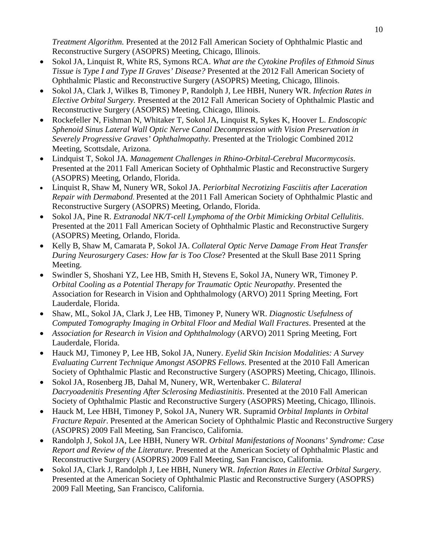*Treatment Algorithm.* Presented at the 2012 Fall American Society of Ophthalmic Plastic and Reconstructive Surgery (ASOPRS) Meeting, Chicago, Illinois.

- Sokol JA, Linquist R, White RS, Symons RCA. *What are the Cytokine Profiles of Ethmoid Sinus Tissue is Type I and Type II Graves' Disease?* Presented at the 2012 Fall American Society of Ophthalmic Plastic and Reconstructive Surgery (ASOPRS) Meeting, Chicago, Illinois.
- Sokol JA, Clark J, Wilkes B, Timoney P, Randolph J, Lee HBH, Nunery WR. *Infection Rates in Elective Orbital Surgery.* Presented at the 2012 Fall American Society of Ophthalmic Plastic and Reconstructive Surgery (ASOPRS) Meeting, Chicago, Illinois.
- Rockefeller N, Fishman N, Whitaker T, Sokol JA, Linquist R, Sykes K, Hoover L. *Endoscopic Sphenoid Sinus Lateral Wall Optic Nerve Canal Decompression with Vision Preservation in Severely Progressive Graves' Ophthalmopathy.* Presented at the Triologic Combined 2012 Meeting, Scottsdale, Arizona.
- Lindquist T, Sokol JA. *Management Challenges in Rhino-Orbital-Cerebral Mucormycosis*. Presented at the 2011 Fall American Society of Ophthalmic Plastic and Reconstructive Surgery (ASOPRS) Meeting, Orlando, Florida.
- Linquist R, Shaw M, Nunery WR, Sokol JA. *Periorbital Necrotizing Fasciitis after Laceration Repair with Dermabond*. Presented at the 2011 Fall American Society of Ophthalmic Plastic and Reconstructive Surgery (ASOPRS) Meeting, Orlando, Florida.
- Sokol JA, Pine R. *Extranodal NK/T-cell Lymphoma of the Orbit Mimicking Orbital Cellulitis*. Presented at the 2011 Fall American Society of Ophthalmic Plastic and Reconstructive Surgery (ASOPRS) Meeting, Orlando, Florida.
- Kelly B, Shaw M, Camarata P, Sokol JA. *Collateral Optic Nerve Damage From Heat Transfer During Neurosurgery Cases: How far is Too Close*? Presented at the Skull Base 2011 Spring Meeting.
- Swindler S, Shoshani YZ, Lee HB, Smith H, Stevens E, Sokol JA, Nunery WR, Timoney P. *Orbital Cooling as a Potential Therapy for Traumatic Optic Neuropathy*. Presented the Association for Research in Vision and Ophthalmology (ARVO) 2011 Spring Meeting, Fort Lauderdale, Florida.
- Shaw, ML, Sokol JA, Clark J, Lee HB, Timoney P, Nunery WR. *Diagnostic Usefulness of Computed Tomography Imaging in Orbital Floor and Medial Wall Fractures*. Presented at the
- *Association for Research in Vision and Ophthalmology* (ARVO) 2011 Spring Meeting, Fort Lauderdale, Florida.
- Hauck MJ, Timoney P, Lee HB, Sokol JA, Nunery. *Eyelid Skin Incision Modalities: A Survey Evaluating Current Technique Amongst ASOPRS Fellows*. Presented at the 2010 Fall American Society of Ophthalmic Plastic and Reconstructive Surgery (ASOPRS) Meeting, Chicago, Illinois.
- Sokol JA, Rosenberg JB, Dahal M, Nunery, WR, Wertenbaker C. *Bilateral Dacryoadenitis Presenting After Sclerosing Mediastinitis*. Presented at the 2010 Fall American Society of Ophthalmic Plastic and Reconstructive Surgery (ASOPRS) Meeting, Chicago, Illinois.
- Hauck M, Lee HBH, Timoney P, Sokol JA, Nunery WR. Supramid *Orbital Implants in Orbital Fracture Repair*. Presented at the American Society of Ophthalmic Plastic and Reconstructive Surgery (ASOPRS) 2009 Fall Meeting, San Francisco, California.
- Randolph J, Sokol JA, Lee HBH, Nunery WR. *Orbital Manifestations of Noonans' Syndrome: Case Report and Review of the Literature*. Presented at the American Society of Ophthalmic Plastic and Reconstructive Surgery (ASOPRS) 2009 Fall Meeting, San Francisco, California.
- Sokol JA, Clark J, Randolph J, Lee HBH, Nunery WR. *Infection Rates in Elective Orbital Surgery*. Presented at the American Society of Ophthalmic Plastic and Reconstructive Surgery (ASOPRS) 2009 Fall Meeting, San Francisco, California.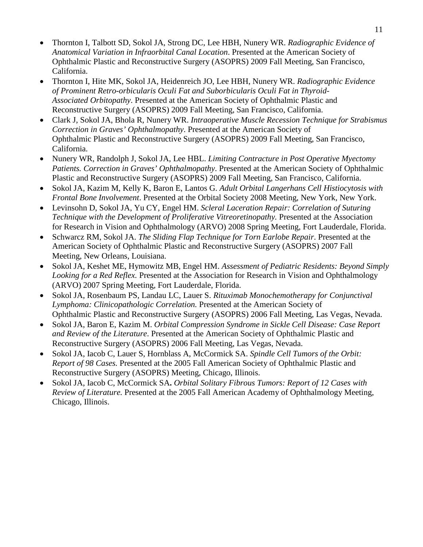- Thornton I, Talbott SD, Sokol JA, Strong DC, Lee HBH, Nunery WR. *Radiographic Evidence of Anatomical Variation in Infraorbital Canal Location*. Presented at the American Society of Ophthalmic Plastic and Reconstructive Surgery (ASOPRS) 2009 Fall Meeting, San Francisco, California.
- Thornton I, Hite MK, Sokol JA, Heidenreich JO, Lee HBH, Nunery WR. *Radiographic Evidence of Prominent Retro-orbicularis Oculi Fat and Suborbicularis Oculi Fat in Thyroid-Associated Orbitopathy*. Presented at the American Society of Ophthalmic Plastic and Reconstructive Surgery (ASOPRS) 2009 Fall Meeting, San Francisco, California.
- Clark J, Sokol JA, Bhola R, Nunery WR. *Intraoperative Muscle Recession Technique for Strabismus Correction in Graves' Ophthalmopathy*. Presented at the American Society of Ophthalmic Plastic and Reconstructive Surgery (ASOPRS) 2009 Fall Meeting, San Francisco, California.
- Nunery WR, Randolph J, Sokol JA, Lee HBL. *Limiting Contracture in Post Operative Myectomy Patients. Correction in Graves' Ophthalmopathy*. Presented at the American Society of Ophthalmic Plastic and Reconstructive Surgery (ASOPRS) 2009 Fall Meeting, San Francisco, California.
- Sokol JA, Kazim M, Kelly K, Baron E, Lantos G. *Adult Orbital Langerhans Cell Histiocytosis with Frontal Bone Involvement*. Presented at the Orbital Society 2008 Meeting, New York, New York.
- Levinsohn D, Sokol JA, Yu CY, Engel HM. *Scleral Laceration Repair: Correlation of Suturing Technique with the Development of Proliferative Vitreoretinopathy.* Presented at the Association for Research in Vision and Ophthalmology (ARVO) 2008 Spring Meeting, Fort Lauderdale, Florida.
- Schwarcz RM, Sokol JA. *The Sliding Flap Technique for Torn Earlobe Repair*. Presented at the American Society of Ophthalmic Plastic and Reconstructive Surgery (ASOPRS) 2007 Fall Meeting, New Orleans, Louisiana.
- Sokol JA, Keshet ME, Hymowitz MB, Engel HM. *Assessment of Pediatric Residents: Beyond Simply Looking for a Red Reflex.* Presented at the Association for Research in Vision and Ophthalmology (ARVO) 2007 Spring Meeting, Fort Lauderdale, Florida.
- Sokol JA, Rosenbaum PS, Landau LC, Lauer S. *Rituximab Monochemotherapy for Conjunctival Lymphoma: Clinicopathologic Correlation.* Presented at the American Society of Ophthalmic Plastic and Reconstructive Surgery (ASOPRS) 2006 Fall Meeting, Las Vegas, Nevada.
- Sokol JA, Baron E, Kazim M. *Orbital Compression Syndrome in Sickle Cell Disease: Case Report and Review of the Literature*. Presented at the American Society of Ophthalmic Plastic and Reconstructive Surgery (ASOPRS) 2006 Fall Meeting, Las Vegas, Nevada.
- Sokol JA, Iacob C, Lauer S, Hornblass A, McCormick SA. *Spindle Cell Tumors of the Orbit: Report of 98 Cases.* Presented at the 2005 Fall American Society of Ophthalmic Plastic and Reconstructive Surgery (ASOPRS) Meeting, Chicago, Illinois.
- Sokol JA, Iacob C, McCormick SA**.** *Orbital Solitary Fibrous Tumors: Report of 12 Cases with Review of Literature.* Presented at the 2005 Fall American Academy of Ophthalmology Meeting, Chicago, Illinois.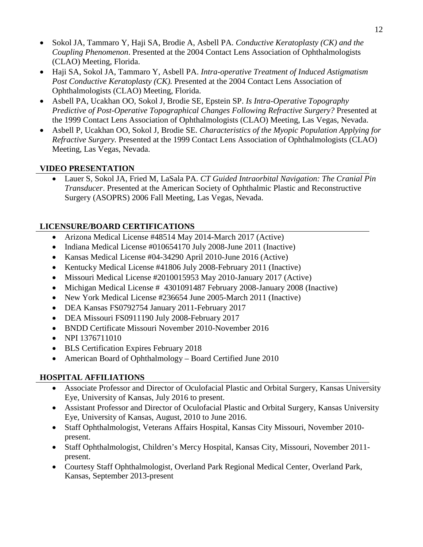- Sokol JA, Tammaro Y, Haji SA, Brodie A, Asbell PA. *Conductive Keratoplasty (CK) and the Coupling Phenomenon*. Presented at the 2004 Contact Lens Association of Ophthalmologists (CLAO) Meeting, Florida.
- Haji SA, Sokol JA, Tammaro Y, Asbell PA. *Intra-operative Treatment of Induced Astigmatism Post Conductive Keratoplasty (CK).* Presented at the 2004 Contact Lens Association of Ophthalmologists (CLAO) Meeting, Florida.
- Asbell PA, Ucakhan OO, Sokol J, Brodie SE, Epstein SP. *Is Intra-Operative Topography Predictive of Post-Operative Topographical Changes Following Refractive Surgery?* Presented at the 1999 Contact Lens Association of Ophthalmologists (CLAO) Meeting, Las Vegas, Nevada.
- Asbell P, Ucakhan OO, Sokol J, Brodie SE. *Characteristics of the Myopic Population Applying for Refractive Surgery.* Presented at the 1999 Contact Lens Association of Ophthalmologists (CLAO) Meeting, Las Vegas, Nevada.

# **VIDEO PRESENTATION**

• Lauer S, Sokol JA, Fried M, LaSala PA. *CT Guided Intraorbital Navigation: The Cranial Pin Transducer*. Presented at the American Society of Ophthalmic Plastic and Reconstructive Surgery (ASOPRS) 2006 Fall Meeting, Las Vegas, Nevada.

## **LICENSURE/BOARD CERTIFICATIONS**

- Arizona Medical License #48514 May 2014-March 2017 (Active)
- Indiana Medical License #010654170 July 2008-June 2011 (Inactive)
- Kansas Medical License #04-34290 April 2010-June 2016 (Active)
- Kentucky Medical License #41806 July 2008-February 2011 (Inactive)
- Missouri Medical License #2010015953 May 2010-January 2017 (Active)
- Michigan Medical License # 4301091487 February 2008-January 2008 (Inactive)
- New York Medical License #236654 June 2005-March 2011 (Inactive)
- DEA Kansas FS0792754 January 2011-February 2017
- DEA Missouri FS0911190 July 2008-February 2017
- BNDD Certificate Missouri November 2010-November 2016
- NPI 1376711010
- BLS Certification Expires February 2018
- American Board of Ophthalmology Board Certified June 2010

# **HOSPITAL AFFILIATIONS**

- Associate Professor and Director of Oculofacial Plastic and Orbital Surgery, Kansas University Eye, University of Kansas, July 2016 to present.
- Assistant Professor and Director of Oculofacial Plastic and Orbital Surgery, Kansas University Eye, University of Kansas, August, 2010 to June 2016.
- Staff Ophthalmologist, Veterans Affairs Hospital, Kansas City Missouri, November 2010 present.
- Staff Ophthalmologist, Children's Mercy Hospital, Kansas City, Missouri, November 2011 present.
- Courtesy Staff Ophthalmologist, Overland Park Regional Medical Center, Overland Park, Kansas, September 2013-present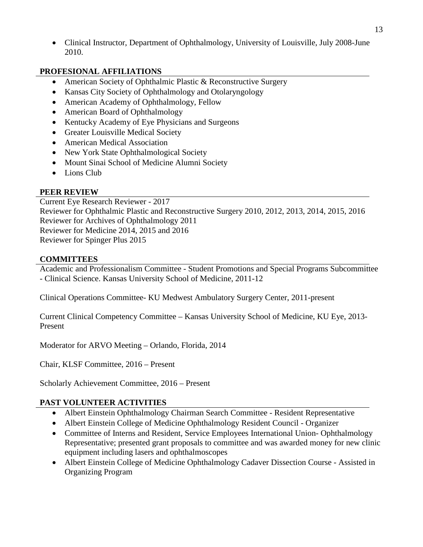• Clinical Instructor, Department of Ophthalmology, University of Louisville, July 2008-June 2010.

### **PROFESIONAL AFFILIATIONS**

- American Society of Ophthalmic Plastic & Reconstructive Surgery
- Kansas City Society of Ophthalmology and Otolaryngology
- American Academy of Ophthalmology, Fellow
- American Board of Ophthalmology
- Kentucky Academy of Eye Physicians and Surgeons
- Greater Louisville Medical Society
- American Medical Association
- New York State Ophthalmological Society
- Mount Sinai School of Medicine Alumni Society
- Lions Club

## **PEER REVIEW**

Current Eye Research Reviewer - 2017 Reviewer for Ophthalmic Plastic and Reconstructive Surgery 2010, 2012, 2013, 2014, 2015, 2016 Reviewer for Archives of Ophthalmology 2011 Reviewer for Medicine 2014, 2015 and 2016 Reviewer for Spinger Plus 2015

#### **COMMITTEES**

Academic and Professionalism Committee - Student Promotions and Special Programs Subcommittee - Clinical Science. Kansas University School of Medicine, 2011-12

Clinical Operations Committee- KU Medwest Ambulatory Surgery Center, 2011-present

Current Clinical Competency Committee – Kansas University School of Medicine, KU Eye, 2013- Present

Moderator for ARVO Meeting – Orlando, Florida, 2014

Chair, KLSF Committee, 2016 – Present

Scholarly Achievement Committee, 2016 – Present

#### **PAST VOLUNTEER ACTIVITIES**

- Albert Einstein Ophthalmology Chairman Search Committee Resident Representative
- Albert Einstein College of Medicine Ophthalmology Resident Council Organizer
- Committee of Interns and Resident, Service Employees International Union-Ophthalmology Representative; presented grant proposals to committee and was awarded money for new clinic equipment including lasers and ophthalmoscopes
- Albert Einstein College of Medicine Ophthalmology Cadaver Dissection Course Assisted in Organizing Program